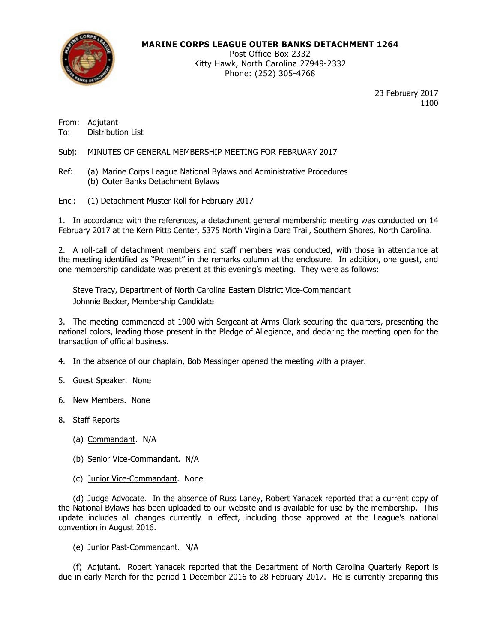

### MARINE CORPS LEAGUE OUTER BANKS DETACHMENT 1264

Post Office Box 2332 Kitty Hawk, North Carolina 27949-2332 Phone: (252) 305-4768

> 23 February 2017 1100

From: Adjutant To: Distribution List

Subj: MINUTES OF GENERAL MEMBERSHIP MEETING FOR FEBRUARY 2017

Ref: (a) Marine Corps League National Bylaws and Administrative Procedures (b) Outer Banks Detachment Bylaws

Encl: (1) Detachment Muster Roll for February 2017

1. In accordance with the references, a detachment general membership meeting was conducted on 14 February 2017 at the Kern Pitts Center, 5375 North Virginia Dare Trail, Southern Shores, North Carolina.

2. A roll-call of detachment members and staff members was conducted, with those in attendance at the meeting identified as "Present" in the remarks column at the enclosure. In addition, one guest, and one membership candidate was present at this evening's meeting. They were as follows:

Steve Tracy, Department of North Carolina Eastern District Vice-Commandant Johnnie Becker, Membership Candidate

3. The meeting commenced at 1900 with Sergeant-at-Arms Clark securing the quarters, presenting the national colors, leading those present in the Pledge of Allegiance, and declaring the meeting open for the transaction of official business.

- 4. In the absence of our chaplain, Bob Messinger opened the meeting with a prayer.
- 5. Guest Speaker. None
- 6. New Members. None
- 8. Staff Reports
	- (a) Commandant. N/A
	- (b) Senior Vice-Commandant. N/A
	- (c) Junior Vice-Commandant. None

 (d) Judge Advocate. In the absence of Russ Laney, Robert Yanacek reported that a current copy of the National Bylaws has been uploaded to our website and is available for use by the membership. This update includes all changes currently in effect, including those approved at the League's national convention in August 2016.

(e) Junior Past-Commandant. N/A

 (f) Adjutant. Robert Yanacek reported that the Department of North Carolina Quarterly Report is due in early March for the period 1 December 2016 to 28 February 2017. He is currently preparing this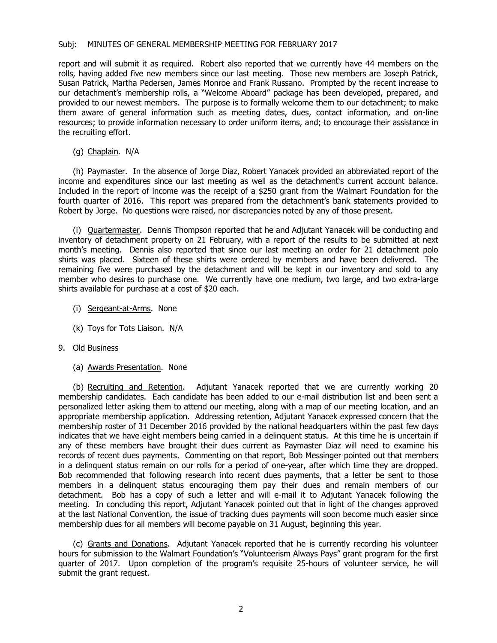### Subj: MINUTES OF GENERAL MEMBERSHIP MEETING FOR FEBRUARY 2017

report and will submit it as required. Robert also reported that we currently have 44 members on the rolls, having added five new members since our last meeting. Those new members are Joseph Patrick, Susan Patrick, Martha Pedersen, James Monroe and Frank Russano. Prompted by the recent increase to our detachment's membership rolls, a "Welcome Aboard" package has been developed, prepared, and provided to our newest members. The purpose is to formally welcome them to our detachment; to make them aware of general information such as meeting dates, dues, contact information, and on-line resources; to provide information necessary to order uniform items, and; to encourage their assistance in the recruiting effort.

(g) Chaplain. N/A

 (h) Paymaster. In the absence of Jorge Diaz, Robert Yanacek provided an abbreviated report of the income and expenditures since our last meeting as well as the detachment's current account balance. Included in the report of income was the receipt of a \$250 grant from the Walmart Foundation for the fourth quarter of 2016. This report was prepared from the detachment's bank statements provided to Robert by Jorge. No questions were raised, nor discrepancies noted by any of those present.

 (i) Quartermaster. Dennis Thompson reported that he and Adjutant Yanacek will be conducting and inventory of detachment property on 21 February, with a report of the results to be submitted at next month's meeting. Dennis also reported that since our last meeting an order for 21 detachment polo shirts was placed. Sixteen of these shirts were ordered by members and have been delivered. The remaining five were purchased by the detachment and will be kept in our inventory and sold to any member who desires to purchase one. We currently have one medium, two large, and two extra-large shirts available for purchase at a cost of \$20 each.

- (i) Sergeant-at-Arms. None
- (k) Toys for Tots Liaison. N/A
- 9. Old Business
	- (a) Awards Presentation. None

 (b) Recruiting and Retention. Adjutant Yanacek reported that we are currently working 20 membership candidates. Each candidate has been added to our e-mail distribution list and been sent a personalized letter asking them to attend our meeting, along with a map of our meeting location, and an appropriate membership application. Addressing retention, Adjutant Yanacek expressed concern that the membership roster of 31 December 2016 provided by the national headquarters within the past few days indicates that we have eight members being carried in a delinquent status. At this time he is uncertain if any of these members have brought their dues current as Paymaster Diaz will need to examine his records of recent dues payments. Commenting on that report, Bob Messinger pointed out that members in a delinquent status remain on our rolls for a period of one-year, after which time they are dropped. Bob recommended that following research into recent dues payments, that a letter be sent to those members in a delinquent status encouraging them pay their dues and remain members of our detachment. Bob has a copy of such a letter and will e-mail it to Adjutant Yanacek following the meeting. In concluding this report, Adjutant Yanacek pointed out that in light of the changes approved at the last National Convention, the issue of tracking dues payments will soon become much easier since membership dues for all members will become payable on 31 August, beginning this year.

 (c) Grants and Donations. Adjutant Yanacek reported that he is currently recording his volunteer hours for submission to the Walmart Foundation's "Volunteerism Always Pays" grant program for the first quarter of 2017. Upon completion of the program's requisite 25-hours of volunteer service, he will submit the grant request.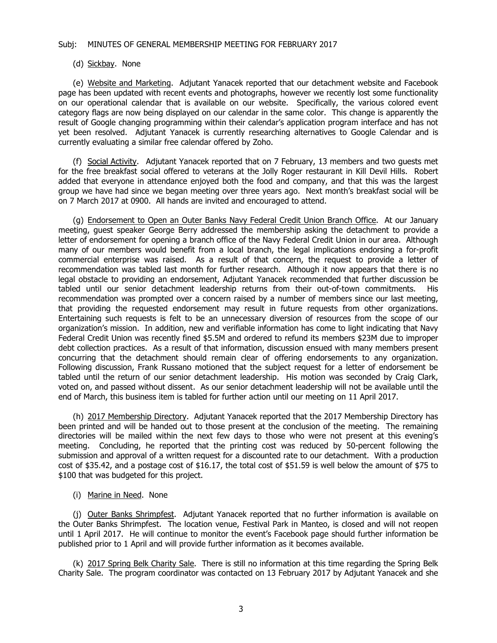#### Subj: MINUTES OF GENERAL MEMBERSHIP MEETING FOR FEBRUARY 2017

#### (d) Sickbay. None

 (e) Website and Marketing. Adjutant Yanacek reported that our detachment website and Facebook page has been updated with recent events and photographs, however we recently lost some functionality on our operational calendar that is available on our website. Specifically, the various colored event category flags are now being displayed on our calendar in the same color. This change is apparently the result of Google changing programming within their calendar's application program interface and has not yet been resolved. Adjutant Yanacek is currently researching alternatives to Google Calendar and is currently evaluating a similar free calendar offered by Zoho.

 (f) Social Activity. Adjutant Yanacek reported that on 7 February, 13 members and two guests met for the free breakfast social offered to veterans at the Jolly Roger restaurant in Kill Devil Hills. Robert added that everyone in attendance enjoyed both the food and company, and that this was the largest group we have had since we began meeting over three years ago. Next month's breakfast social will be on 7 March 2017 at 0900. All hands are invited and encouraged to attend.

 (g) Endorsement to Open an Outer Banks Navy Federal Credit Union Branch Office. At our January meeting, guest speaker George Berry addressed the membership asking the detachment to provide a letter of endorsement for opening a branch office of the Navy Federal Credit Union in our area. Although many of our members would benefit from a local branch, the legal implications endorsing a for-profit commercial enterprise was raised. As a result of that concern, the request to provide a letter of recommendation was tabled last month for further research. Although it now appears that there is no legal obstacle to providing an endorsement, Adjutant Yanacek recommended that further discussion be tabled until our senior detachment leadership returns from their out-of-town commitments. His recommendation was prompted over a concern raised by a number of members since our last meeting, that providing the requested endorsement may result in future requests from other organizations. Entertaining such requests is felt to be an unnecessary diversion of resources from the scope of our organization's mission. In addition, new and verifiable information has come to light indicating that Navy Federal Credit Union was recently fined \$5.5M and ordered to refund its members \$23M due to improper debt collection practices. As a result of that information, discussion ensued with many members present concurring that the detachment should remain clear of offering endorsements to any organization. Following discussion, Frank Russano motioned that the subject request for a letter of endorsement be tabled until the return of our senior detachment leadership. His motion was seconded by Craig Clark, voted on, and passed without dissent. As our senior detachment leadership will not be available until the end of March, this business item is tabled for further action until our meeting on 11 April 2017.

 (h) 2017 Membership Directory. Adjutant Yanacek reported that the 2017 Membership Directory has been printed and will be handed out to those present at the conclusion of the meeting. The remaining directories will be mailed within the next few days to those who were not present at this evening's meeting. Concluding, he reported that the printing cost was reduced by 50-percent following the submission and approval of a written request for a discounted rate to our detachment. With a production cost of \$35.42, and a postage cost of \$16.17, the total cost of \$51.59 is well below the amount of \$75 to \$100 that was budgeted for this project.

(i) Marine in Need. None

(j) Outer Banks Shrimpfest. Adjutant Yanacek reported that no further information is available on the Outer Banks Shrimpfest. The location venue, Festival Park in Manteo, is closed and will not reopen until 1 April 2017. He will continue to monitor the event's Facebook page should further information be published prior to 1 April and will provide further information as it becomes available.

 (k) 2017 Spring Belk Charity Sale. There is still no information at this time regarding the Spring Belk Charity Sale. The program coordinator was contacted on 13 February 2017 by Adjutant Yanacek and she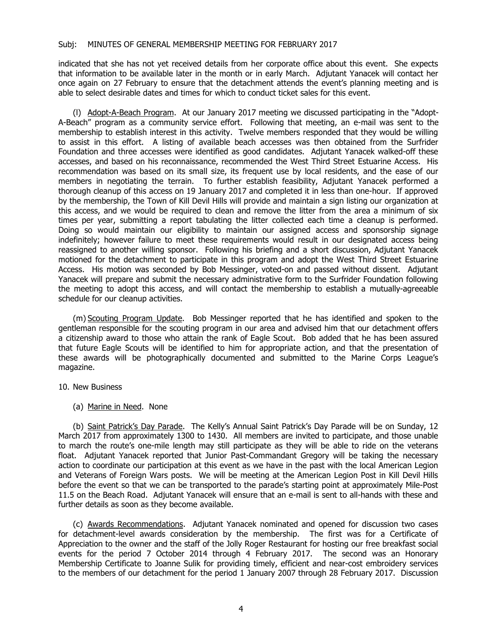### Subj: MINUTES OF GENERAL MEMBERSHIP MEETING FOR FEBRUARY 2017

indicated that she has not yet received details from her corporate office about this event. She expects that information to be available later in the month or in early March. Adjutant Yanacek will contact her once again on 27 February to ensure that the detachment attends the event's planning meeting and is able to select desirable dates and times for which to conduct ticket sales for this event.

(l) Adopt-A-Beach Program. At our January 2017 meeting we discussed participating in the "Adopt-A-Beach" program as a community service effort. Following that meeting, an e-mail was sent to the membership to establish interest in this activity. Twelve members responded that they would be willing to assist in this effort. A listing of available beach accesses was then obtained from the Surfrider Foundation and three accesses were identified as good candidates. Adjutant Yanacek walked-off these accesses, and based on his reconnaissance, recommended the West Third Street Estuarine Access. His recommendation was based on its small size, its frequent use by local residents, and the ease of our members in negotiating the terrain. To further establish feasibility, Adjutant Yanacek performed a thorough cleanup of this access on 19 January 2017 and completed it in less than one-hour. If approved by the membership, the Town of Kill Devil Hills will provide and maintain a sign listing our organization at this access, and we would be required to clean and remove the litter from the area a minimum of six times per year, submitting a report tabulating the litter collected each time a cleanup is performed. Doing so would maintain our eligibility to maintain our assigned access and sponsorship signage indefinitely; however failure to meet these requirements would result in our designated access being reassigned to another willing sponsor. Following his briefing and a short discussion, Adjutant Yanacek motioned for the detachment to participate in this program and adopt the West Third Street Estuarine Access. His motion was seconded by Bob Messinger, voted-on and passed without dissent. Adjutant Yanacek will prepare and submit the necessary administrative form to the Surfrider Foundation following the meeting to adopt this access, and will contact the membership to establish a mutually-agreeable schedule for our cleanup activities.

(m) Scouting Program Update. Bob Messinger reported that he has identified and spoken to the gentleman responsible for the scouting program in our area and advised him that our detachment offers a citizenship award to those who attain the rank of Eagle Scout. Bob added that he has been assured that future Eagle Scouts will be identified to him for appropriate action, and that the presentation of these awards will be photographically documented and submitted to the Marine Corps League's magazine.

#### 10. New Business

## (a) Marine in Need. None

(b) Saint Patrick's Day Parade. The Kelly's Annual Saint Patrick's Day Parade will be on Sunday, 12 March 2017 from approximately 1300 to 1430. All members are invited to participate, and those unable to march the route's one-mile length may still participate as they will be able to ride on the veterans float. Adjutant Yanacek reported that Junior Past-Commandant Gregory will be taking the necessary action to coordinate our participation at this event as we have in the past with the local American Legion and Veterans of Foreign Wars posts. We will be meeting at the American Legion Post in Kill Devil Hills before the event so that we can be transported to the parade's starting point at approximately Mile-Post 11.5 on the Beach Road. Adjutant Yanacek will ensure that an e-mail is sent to all-hands with these and further details as soon as they become available.

(c) Awards Recommendations. Adjutant Yanacek nominated and opened for discussion two cases for detachment-level awards consideration by the membership. The first was for a Certificate of Appreciation to the owner and the staff of the Jolly Roger Restaurant for hosting our free breakfast social events for the period 7 October 2014 through 4 February 2017. The second was an Honorary Membership Certificate to Joanne Sulik for providing timely, efficient and near-cost embroidery services to the members of our detachment for the period 1 January 2007 through 28 February 2017. Discussion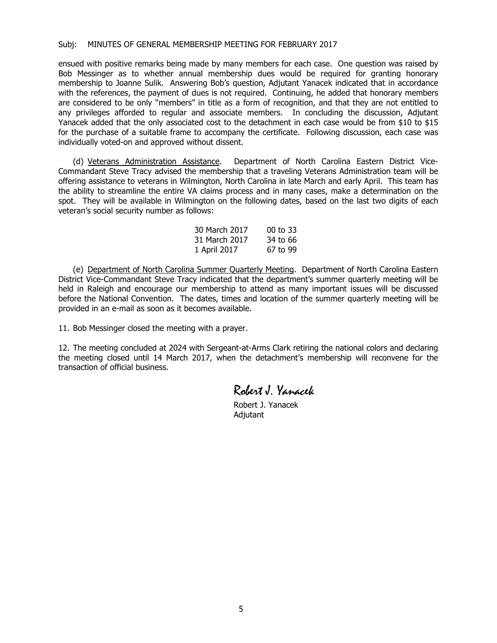ensued with positive remarks being made by many members for each case. One question was raised by Bob Messinger as to whether annual membership dues would be required for granting honorary membership to Joanne Sulik. Answering Bob's question, Adjutant Yanacek indicated that in accordance with the references, the payment of dues is not required. Continuing, he added that honorary members are considered to be only "members" in title as a form of recognition, and that they are not entitled to any privileges afforded to regular and associate members. In concluding the discussion, Adjutant Yanacek added that the only associated cost to the detachment in each case would be from \$10 to \$15 for the purchase of a suitable frame to accompany the certificate. Following discussion, each case was individually voted-on and approved without dissent.

 (d) Veterans Administration Assistance. Department of North Carolina Eastern District Vice-Commandant Steve Tracy advised the membership that a traveling Veterans Administration team will be offering assistance to veterans in Wilmington, North Carolina in late March and early April. This team has the ability to streamline the entire VA claims process and in many cases, make a determination on the spot. They will be available in Wilmington on the following dates, based on the last two digits of each veteran's social security number as follows:

| 30 March 2017 | $00$ to 33 |
|---------------|------------|
| 31 March 2017 | 34 to 66   |
| 1 April 2017  | 67 to 99   |

 (e) Department of North Carolina Summer Quarterly Meeting. Department of North Carolina Eastern District Vice-Commandant Steve Tracy indicated that the department's summer quarterly meeting will be held in Raleigh and encourage our membership to attend as many important issues will be discussed before the National Convention. The dates, times and location of the summer quarterly meeting will be provided in an e-mail as soon as it becomes available.

11. Bob Messinger closed the meeting with a prayer.

12. The meeting concluded at 2024 with Sergeant-at-Arms Clark retiring the national colors and declaring the meeting closed until 14 March 2017, when the detachment's membership will reconvene for the transaction of official business.

Robert J. Yanacek

 Robert J. Yanacek Adjutant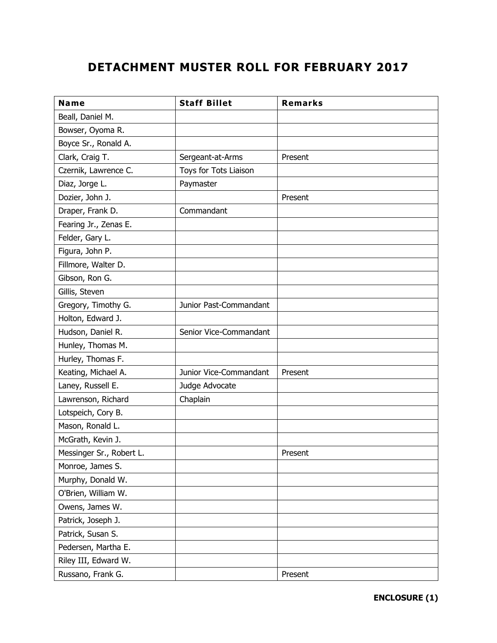# **DETACHMENT MUSTER ROLL FOR FEBRUARY 2017**

| <b>Name</b>              | <b>Staff Billet</b>    | <b>Remarks</b> |
|--------------------------|------------------------|----------------|
| Beall, Daniel M.         |                        |                |
| Bowser, Oyoma R.         |                        |                |
| Boyce Sr., Ronald A.     |                        |                |
| Clark, Craig T.          | Sergeant-at-Arms       | Present        |
| Czernik, Lawrence C.     | Toys for Tots Liaison  |                |
| Diaz, Jorge L.           | Paymaster              |                |
| Dozier, John J.          |                        | Present        |
| Draper, Frank D.         | Commandant             |                |
| Fearing Jr., Zenas E.    |                        |                |
| Felder, Gary L.          |                        |                |
| Figura, John P.          |                        |                |
| Fillmore, Walter D.      |                        |                |
| Gibson, Ron G.           |                        |                |
| Gillis, Steven           |                        |                |
| Gregory, Timothy G.      | Junior Past-Commandant |                |
| Holton, Edward J.        |                        |                |
| Hudson, Daniel R.        | Senior Vice-Commandant |                |
| Hunley, Thomas M.        |                        |                |
| Hurley, Thomas F.        |                        |                |
| Keating, Michael A.      | Junior Vice-Commandant | Present        |
| Laney, Russell E.        | Judge Advocate         |                |
| Lawrenson, Richard       | Chaplain               |                |
| Lotspeich, Cory B.       |                        |                |
| Mason, Ronald L.         |                        |                |
| McGrath, Kevin J.        |                        |                |
| Messinger Sr., Robert L. |                        | Present        |
| Monroe, James S.         |                        |                |
| Murphy, Donald W.        |                        |                |
| O'Brien, William W.      |                        |                |
| Owens, James W.          |                        |                |
| Patrick, Joseph J.       |                        |                |
| Patrick, Susan S.        |                        |                |
| Pedersen, Martha E.      |                        |                |
| Riley III, Edward W.     |                        |                |
| Russano, Frank G.        |                        | Present        |

**ENCLOSURE (1)**